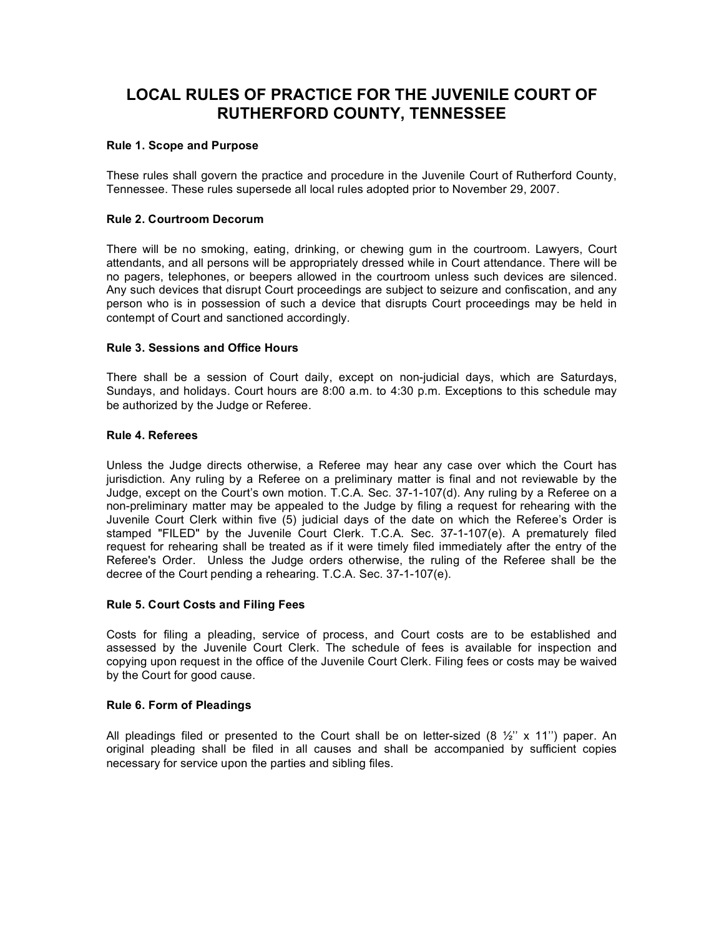# **LOCAL RULES OF PRACTICE FOR THE JUVENILE COURT OF RUTHERFORD COUNTY, TENNESSEE**

## **Rule 1. Scope and Purpose**

These rules shall govern the practice and procedure in the Juvenile Court of Rutherford County, Tennessee. These rules supersede all local rules adopted prior to November 29, 2007.

## **Rule 2. Courtroom Decorum**

There will be no smoking, eating, drinking, or chewing gum in the courtroom. Lawyers, Court attendants, and all persons will be appropriately dressed while in Court attendance. There will be no pagers, telephones, or beepers allowed in the courtroom unless such devices are silenced. Any such devices that disrupt Court proceedings are subject to seizure and confiscation, and any person who is in possession of such a device that disrupts Court proceedings may be held in contempt of Court and sanctioned accordingly.

## **Rule 3. Sessions and Office Hours**

There shall be a session of Court daily, except on non-judicial days, which are Saturdays, Sundays, and holidays. Court hours are 8:00 a.m. to 4:30 p.m. Exceptions to this schedule may be authorized by the Judge or Referee.

#### **Rule 4. Referees**

Unless the Judge directs otherwise, a Referee may hear any case over which the Court has jurisdiction. Any ruling by a Referee on a preliminary matter is final and not reviewable by the Judge, except on the Court's own motion. T.C.A. Sec. 37-1-107(d). Any ruling by a Referee on a non-preliminary matter may be appealed to the Judge by filing a request for rehearing with the Juvenile Court Clerk within five (5) judicial days of the date on which the Referee's Order is stamped "FILED" by the Juvenile Court Clerk. T.C.A. Sec. 37-1-107(e). A prematurely filed request for rehearing shall be treated as if it were timely filed immediately after the entry of the Referee's Order. Unless the Judge orders otherwise, the ruling of the Referee shall be the decree of the Court pending a rehearing. T.C.A. Sec. 37-1-107(e).

## **Rule 5. Court Costs and Filing Fees**

Costs for filing a pleading, service of process, and Court costs are to be established and assessed by the Juvenile Court Clerk. The schedule of fees is available for inspection and copying upon request in the office of the Juvenile Court Clerk. Filing fees or costs may be waived by the Court for good cause.

#### **Rule 6. Form of Pleadings**

All pleadings filed or presented to the Court shall be on letter-sized (8  $\frac{1}{2}$ ' x 11'') paper. An original pleading shall be filed in all causes and shall be accompanied by sufficient copies necessary for service upon the parties and sibling files.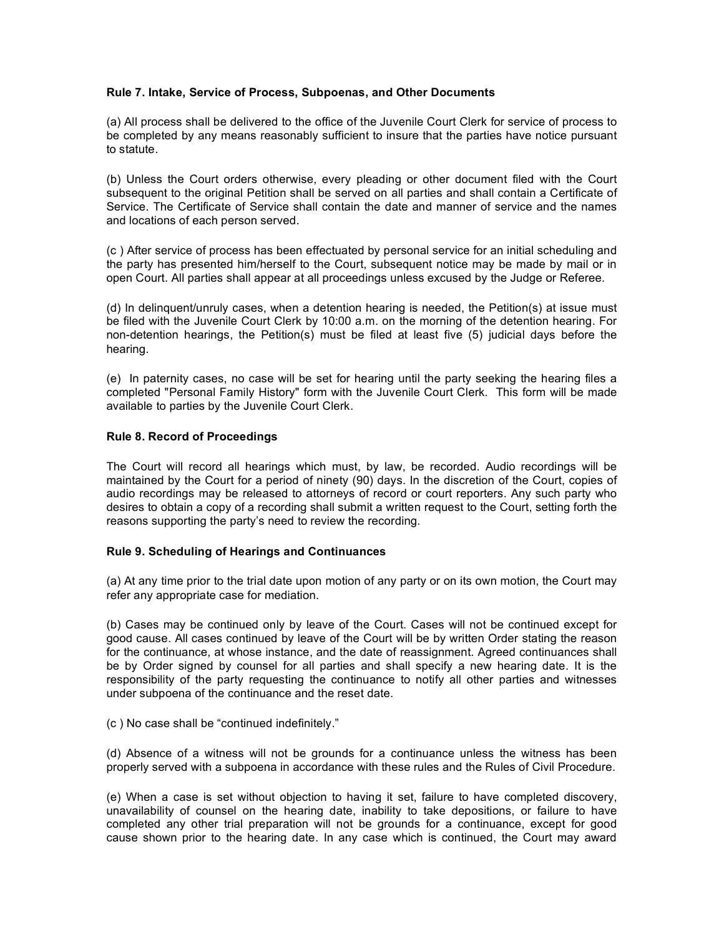#### **Rule 7. Intake, Service of Process, Subpoenas, and Other Documents**

(a) All process shall be delivered to the office of the Juvenile Court Clerk for service of process to be completed by any means reasonably sufficient to insure that the parties have notice pursuant to statute.

(b) Unless the Court orders otherwise, every pleading or other document filed with the Court subsequent to the original Petition shall be served on all parties and shall contain a Certificate of Service. The Certificate of Service shall contain the date and manner of service and the names and locations of each person served.

(c ) After service of process has been effectuated by personal service for an initial scheduling and the party has presented him/herself to the Court, subsequent notice may be made by mail or in open Court. All parties shall appear at all proceedings unless excused by the Judge or Referee.

(d) In delinquent/unruly cases, when a detention hearing is needed, the Petition(s) at issue must be filed with the Juvenile Court Clerk by 10:00 a.m. on the morning of the detention hearing. For non-detention hearings, the Petition(s) must be filed at least five (5) judicial days before the hearing.

(e) In paternity cases, no case will be set for hearing until the party seeking the hearing files a completed "Personal Family History" form with the Juvenile Court Clerk. This form will be made available to parties by the Juvenile Court Clerk.

## **Rule 8. Record of Proceedings**

The Court will record all hearings which must, by law, be recorded. Audio recordings will be maintained by the Court for a period of ninety (90) days. In the discretion of the Court, copies of audio recordings may be released to attorneys of record or court reporters. Any such party who desires to obtain a copy of a recording shall submit a written request to the Court, setting forth the reasons supporting the party's need to review the recording.

## **Rule 9. Scheduling of Hearings and Continuances**

(a) At any time prior to the trial date upon motion of any party or on its own motion, the Court may refer any appropriate case for mediation.

(b) Cases may be continued only by leave of the Court. Cases will not be continued except for good cause. All cases continued by leave of the Court will be by written Order stating the reason for the continuance, at whose instance, and the date of reassignment. Agreed continuances shall be by Order signed by counsel for all parties and shall specify a new hearing date. It is the responsibility of the party requesting the continuance to notify all other parties and witnesses under subpoena of the continuance and the reset date.

(c ) No case shall be "continued indefinitely."

(d) Absence of a witness will not be grounds for a continuance unless the witness has been properly served with a subpoena in accordance with these rules and the Rules of Civil Procedure.

(e) When a case is set without objection to having it set, failure to have completed discovery, unavailability of counsel on the hearing date, inability to take depositions, or failure to have completed any other trial preparation will not be grounds for a continuance, except for good cause shown prior to the hearing date. In any case which is continued, the Court may award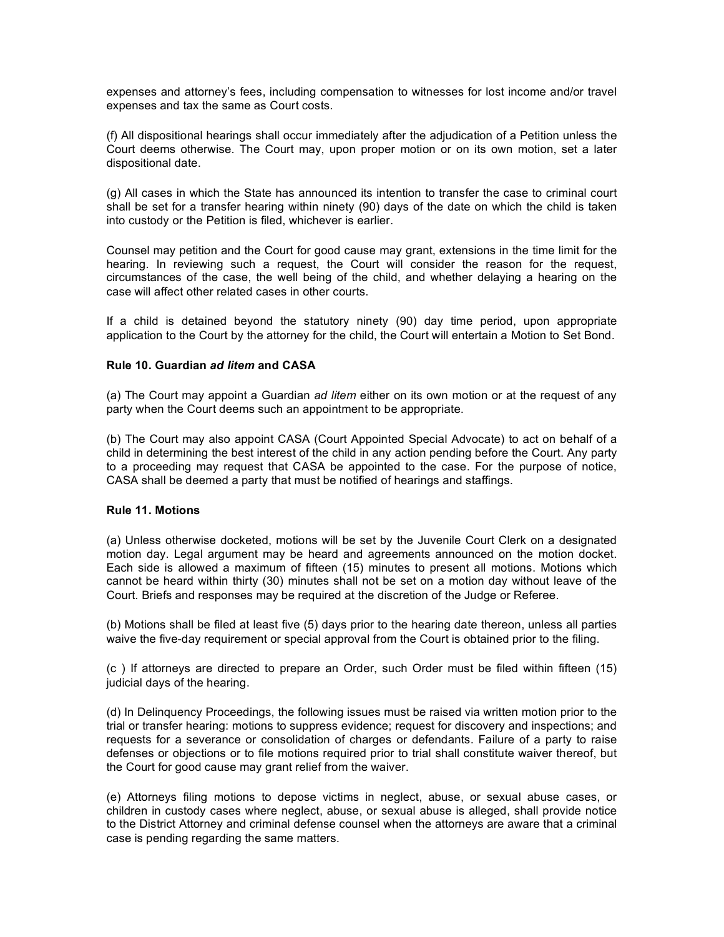expenses and attorney's fees, including compensation to witnesses for lost income and/or travel expenses and tax the same as Court costs.

(f) All dispositional hearings shall occur immediately after the adjudication of a Petition unless the Court deems otherwise. The Court may, upon proper motion or on its own motion, set a later dispositional date.

(g) All cases in which the State has announced its intention to transfer the case to criminal court shall be set for a transfer hearing within ninety (90) days of the date on which the child is taken into custody or the Petition is filed, whichever is earlier.

Counsel may petition and the Court for good cause may grant, extensions in the time limit for the hearing. In reviewing such a request, the Court will consider the reason for the request, circumstances of the case, the well being of the child, and whether delaying a hearing on the case will affect other related cases in other courts.

If a child is detained beyond the statutory ninety (90) day time period, upon appropriate application to the Court by the attorney for the child, the Court will entertain a Motion to Set Bond.

## **Rule 10. Guardian** *ad litem* **and CASA**

(a) The Court may appoint a Guardian *ad litem* either on its own motion or at the request of any party when the Court deems such an appointment to be appropriate.

(b) The Court may also appoint CASA (Court Appointed Special Advocate) to act on behalf of a child in determining the best interest of the child in any action pending before the Court. Any party to a proceeding may request that CASA be appointed to the case. For the purpose of notice, CASA shall be deemed a party that must be notified of hearings and staffings.

## **Rule 11. Motions**

(a) Unless otherwise docketed, motions will be set by the Juvenile Court Clerk on a designated motion day. Legal argument may be heard and agreements announced on the motion docket. Each side is allowed a maximum of fifteen (15) minutes to present all motions. Motions which cannot be heard within thirty (30) minutes shall not be set on a motion day without leave of the Court. Briefs and responses may be required at the discretion of the Judge or Referee.

(b) Motions shall be filed at least five (5) days prior to the hearing date thereon, unless all parties waive the five-day requirement or special approval from the Court is obtained prior to the filing.

(c ) If attorneys are directed to prepare an Order, such Order must be filed within fifteen (15) judicial days of the hearing.

(d) In Delinquency Proceedings, the following issues must be raised via written motion prior to the trial or transfer hearing: motions to suppress evidence; request for discovery and inspections; and requests for a severance or consolidation of charges or defendants. Failure of a party to raise defenses or objections or to file motions required prior to trial shall constitute waiver thereof, but the Court for good cause may grant relief from the waiver.

(e) Attorneys filing motions to depose victims in neglect, abuse, or sexual abuse cases, or children in custody cases where neglect, abuse, or sexual abuse is alleged, shall provide notice to the District Attorney and criminal defense counsel when the attorneys are aware that a criminal case is pending regarding the same matters.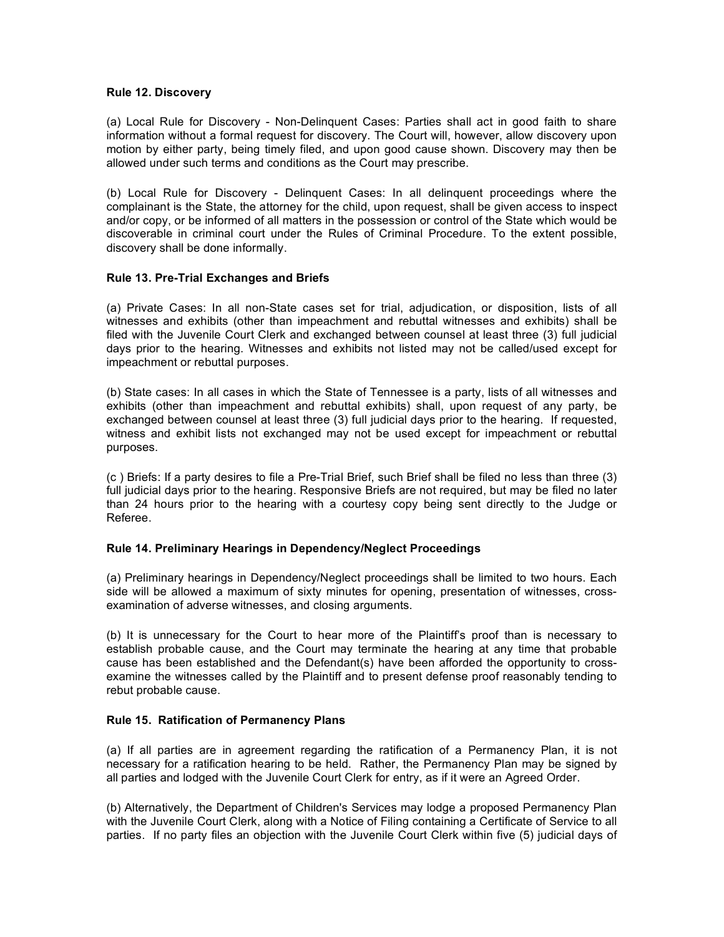#### **Rule 12. Discovery**

(a) Local Rule for Discovery - Non-Delinquent Cases: Parties shall act in good faith to share information without a formal request for discovery. The Court will, however, allow discovery upon motion by either party, being timely filed, and upon good cause shown. Discovery may then be allowed under such terms and conditions as the Court may prescribe.

(b) Local Rule for Discovery - Delinquent Cases: In all delinquent proceedings where the complainant is the State, the attorney for the child, upon request, shall be given access to inspect and/or copy, or be informed of all matters in the possession or control of the State which would be discoverable in criminal court under the Rules of Criminal Procedure. To the extent possible, discovery shall be done informally.

## **Rule 13. Pre-Trial Exchanges and Briefs**

(a) Private Cases: In all non-State cases set for trial, adjudication, or disposition, lists of all witnesses and exhibits (other than impeachment and rebuttal witnesses and exhibits) shall be filed with the Juvenile Court Clerk and exchanged between counsel at least three (3) full judicial days prior to the hearing. Witnesses and exhibits not listed may not be called/used except for impeachment or rebuttal purposes.

(b) State cases: In all cases in which the State of Tennessee is a party, lists of all witnesses and exhibits (other than impeachment and rebuttal exhibits) shall, upon request of any party, be exchanged between counsel at least three (3) full judicial days prior to the hearing. If requested, witness and exhibit lists not exchanged may not be used except for impeachment or rebuttal purposes.

(c ) Briefs: If a party desires to file a Pre-Trial Brief, such Brief shall be filed no less than three (3) full judicial days prior to the hearing. Responsive Briefs are not required, but may be filed no later than 24 hours prior to the hearing with a courtesy copy being sent directly to the Judge or Referee.

## **Rule 14. Preliminary Hearings in Dependency/Neglect Proceedings**

(a) Preliminary hearings in Dependency/Neglect proceedings shall be limited to two hours. Each side will be allowed a maximum of sixty minutes for opening, presentation of witnesses, crossexamination of adverse witnesses, and closing arguments.

(b) It is unnecessary for the Court to hear more of the Plaintiff's proof than is necessary to establish probable cause, and the Court may terminate the hearing at any time that probable cause has been established and the Defendant(s) have been afforded the opportunity to crossexamine the witnesses called by the Plaintiff and to present defense proof reasonably tending to rebut probable cause.

## **Rule 15. Ratification of Permanency Plans**

(a) If all parties are in agreement regarding the ratification of a Permanency Plan, it is not necessary for a ratification hearing to be held. Rather, the Permanency Plan may be signed by all parties and lodged with the Juvenile Court Clerk for entry, as if it were an Agreed Order.

(b) Alternatively, the Department of Children's Services may lodge a proposed Permanency Plan with the Juvenile Court Clerk, along with a Notice of Filing containing a Certificate of Service to all parties. If no party files an objection with the Juvenile Court Clerk within five (5) judicial days of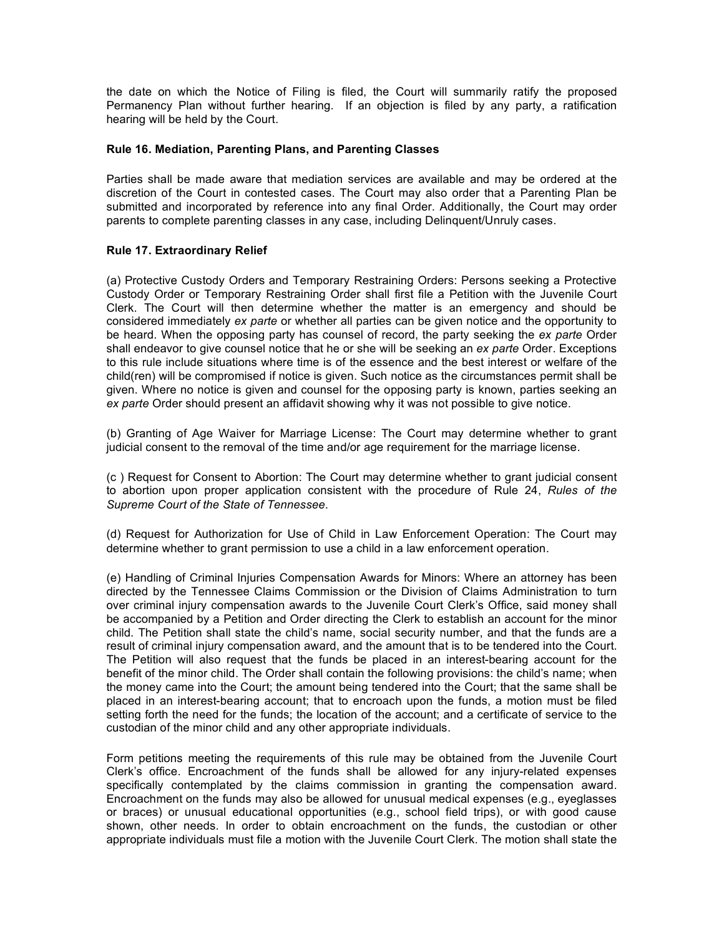the date on which the Notice of Filing is filed, the Court will summarily ratify the proposed Permanency Plan without further hearing. If an objection is filed by any party, a ratification hearing will be held by the Court.

## **Rule 16. Mediation, Parenting Plans, and Parenting Classes**

Parties shall be made aware that mediation services are available and may be ordered at the discretion of the Court in contested cases. The Court may also order that a Parenting Plan be submitted and incorporated by reference into any final Order. Additionally, the Court may order parents to complete parenting classes in any case, including Delinquent/Unruly cases.

# **Rule 17. Extraordinary Relief**

(a) Protective Custody Orders and Temporary Restraining Orders: Persons seeking a Protective Custody Order or Temporary Restraining Order shall first file a Petition with the Juvenile Court Clerk. The Court will then determine whether the matter is an emergency and should be considered immediately *ex parte* or whether all parties can be given notice and the opportunity to be heard. When the opposing party has counsel of record, the party seeking the *ex parte* Order shall endeavor to give counsel notice that he or she will be seeking an *ex parte* Order. Exceptions to this rule include situations where time is of the essence and the best interest or welfare of the child(ren) will be compromised if notice is given. Such notice as the circumstances permit shall be given. Where no notice is given and counsel for the opposing party is known, parties seeking an *ex parte* Order should present an affidavit showing why it was not possible to give notice.

(b) Granting of Age Waiver for Marriage License: The Court may determine whether to grant judicial consent to the removal of the time and/or age requirement for the marriage license.

(c ) Request for Consent to Abortion: The Court may determine whether to grant judicial consent to abortion upon proper application consistent with the procedure of Rule 24, *Rules of the Supreme Court of the State of Tennessee*.

(d) Request for Authorization for Use of Child in Law Enforcement Operation: The Court may determine whether to grant permission to use a child in a law enforcement operation.

(e) Handling of Criminal Injuries Compensation Awards for Minors: Where an attorney has been directed by the Tennessee Claims Commission or the Division of Claims Administration to turn over criminal injury compensation awards to the Juvenile Court Clerk's Office, said money shall be accompanied by a Petition and Order directing the Clerk to establish an account for the minor child. The Petition shall state the child's name, social security number, and that the funds are a result of criminal injury compensation award, and the amount that is to be tendered into the Court. The Petition will also request that the funds be placed in an interest-bearing account for the benefit of the minor child. The Order shall contain the following provisions: the child's name; when the money came into the Court; the amount being tendered into the Court; that the same shall be placed in an interest-bearing account; that to encroach upon the funds, a motion must be filed setting forth the need for the funds; the location of the account; and a certificate of service to the custodian of the minor child and any other appropriate individuals.

Form petitions meeting the requirements of this rule may be obtained from the Juvenile Court Clerk's office. Encroachment of the funds shall be allowed for any injury-related expenses specifically contemplated by the claims commission in granting the compensation award. Encroachment on the funds may also be allowed for unusual medical expenses (e.g., eyeglasses or braces) or unusual educational opportunities (e.g., school field trips), or with good cause shown, other needs. In order to obtain encroachment on the funds, the custodian or other appropriate individuals must file a motion with the Juvenile Court Clerk. The motion shall state the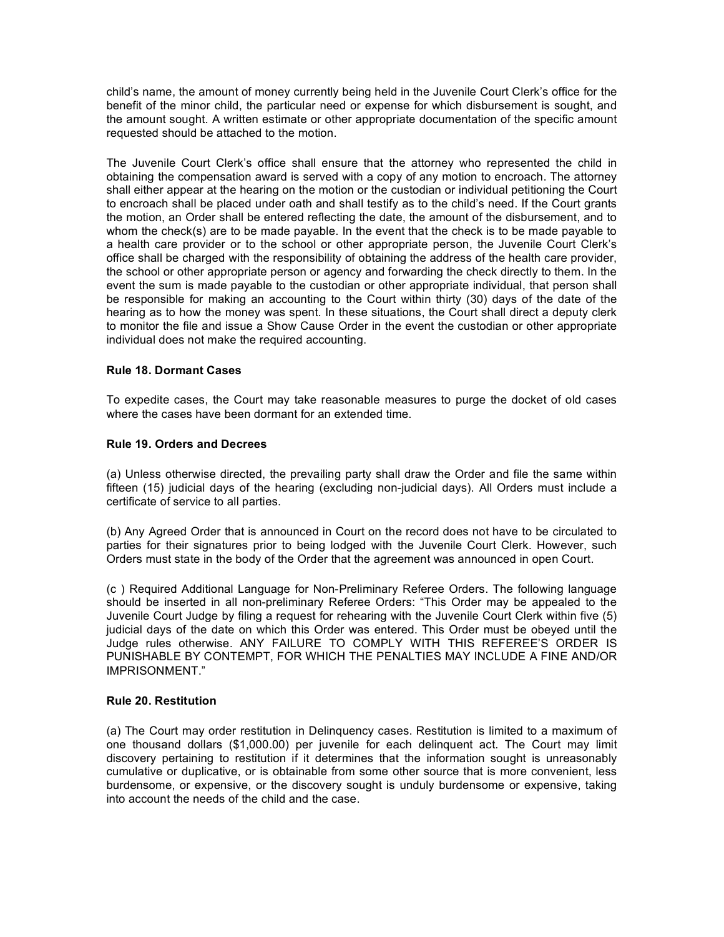child's name, the amount of money currently being held in the Juvenile Court Clerk's office for the benefit of the minor child, the particular need or expense for which disbursement is sought, and the amount sought. A written estimate or other appropriate documentation of the specific amount requested should be attached to the motion.

The Juvenile Court Clerk's office shall ensure that the attorney who represented the child in obtaining the compensation award is served with a copy of any motion to encroach. The attorney shall either appear at the hearing on the motion or the custodian or individual petitioning the Court to encroach shall be placed under oath and shall testify as to the child's need. If the Court grants the motion, an Order shall be entered reflecting the date, the amount of the disbursement, and to whom the check(s) are to be made payable. In the event that the check is to be made payable to a health care provider or to the school or other appropriate person, the Juvenile Court Clerk's office shall be charged with the responsibility of obtaining the address of the health care provider, the school or other appropriate person or agency and forwarding the check directly to them. In the event the sum is made payable to the custodian or other appropriate individual, that person shall be responsible for making an accounting to the Court within thirty (30) days of the date of the hearing as to how the money was spent. In these situations, the Court shall direct a deputy clerk to monitor the file and issue a Show Cause Order in the event the custodian or other appropriate individual does not make the required accounting.

## **Rule 18. Dormant Cases**

To expedite cases, the Court may take reasonable measures to purge the docket of old cases where the cases have been dormant for an extended time.

## **Rule 19. Orders and Decrees**

(a) Unless otherwise directed, the prevailing party shall draw the Order and file the same within fifteen (15) judicial days of the hearing (excluding non-judicial days). All Orders must include a certificate of service to all parties.

(b) Any Agreed Order that is announced in Court on the record does not have to be circulated to parties for their signatures prior to being lodged with the Juvenile Court Clerk. However, such Orders must state in the body of the Order that the agreement was announced in open Court.

(c ) Required Additional Language for Non-Preliminary Referee Orders. The following language should be inserted in all non-preliminary Referee Orders: "This Order may be appealed to the Juvenile Court Judge by filing a request for rehearing with the Juvenile Court Clerk within five (5) judicial days of the date on which this Order was entered. This Order must be obeyed until the Judge rules otherwise. ANY FAILURE TO COMPLY WITH THIS REFEREE'S ORDER IS PUNISHABLE BY CONTEMPT, FOR WHICH THE PENALTIES MAY INCLUDE A FINE AND/OR IMPRISONMENT."

## **Rule 20. Restitution**

(a) The Court may order restitution in Delinquency cases. Restitution is limited to a maximum of one thousand dollars (\$1,000.00) per juvenile for each delinquent act. The Court may limit discovery pertaining to restitution if it determines that the information sought is unreasonably cumulative or duplicative, or is obtainable from some other source that is more convenient, less burdensome, or expensive, or the discovery sought is unduly burdensome or expensive, taking into account the needs of the child and the case.